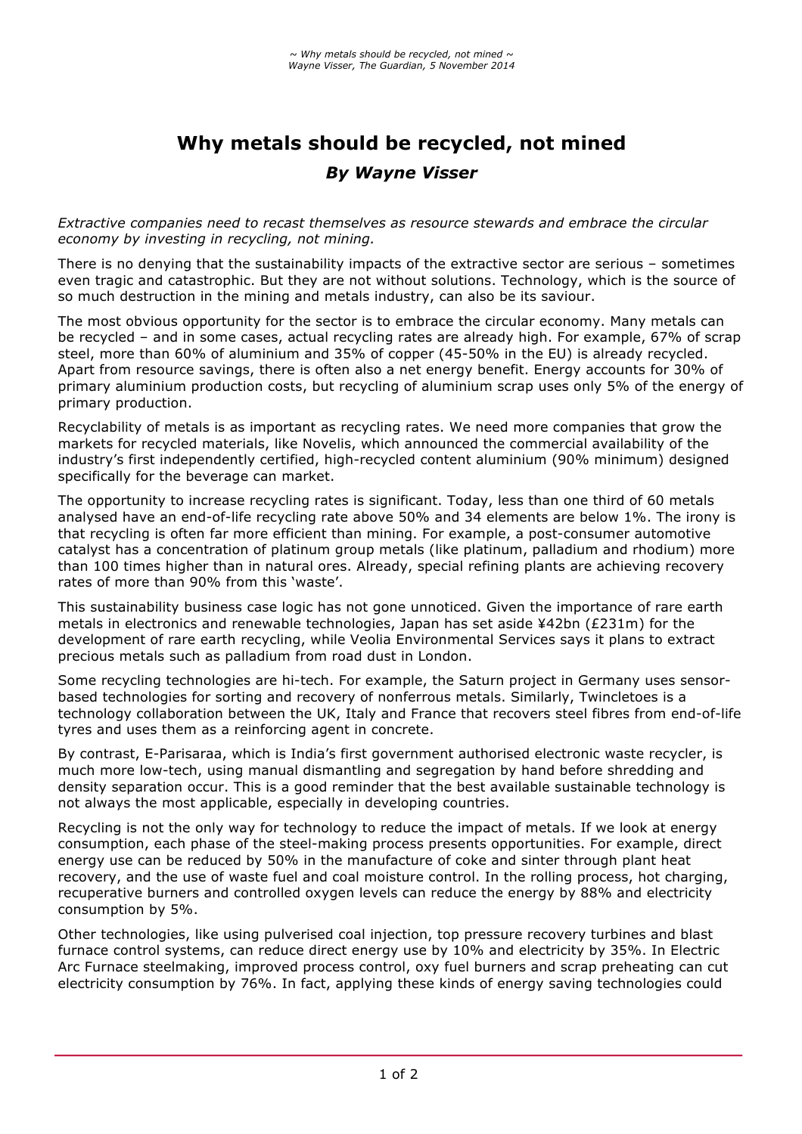## **Why metals should be recycled, not mined** *By Wayne Visser*

*Extractive companies need to recast themselves as resource stewards and embrace the circular economy by investing in recycling, not mining.*

There is no denying that the sustainability impacts of the extractive sector are serious – sometimes even tragic and catastrophic. But they are not without solutions. Technology, which is the source of so much destruction in the mining and metals industry, can also be its saviour.

The most obvious opportunity for the sector is to embrace the circular economy. Many metals can be recycled – and in some cases, actual recycling rates are already high. For example, 67% of scrap steel, more than 60% of aluminium and 35% of copper (45-50% in the EU) is already recycled. Apart from resource savings, there is often also a net energy benefit. Energy accounts for 30% of primary aluminium production costs, but recycling of aluminium scrap uses only 5% of the energy of primary production.

Recyclability of metals is as important as recycling rates. We need more companies that grow the markets for recycled materials, like Novelis, which announced the commercial availability of the industry's first independently certified, high-recycled content aluminium (90% minimum) designed specifically for the beverage can market.

The opportunity to increase recycling rates is significant. Today, less than one third of 60 metals analysed have an end-of-life recycling rate above 50% and 34 elements are below 1%. The irony is that recycling is often far more efficient than mining. For example, a post-consumer automotive catalyst has a concentration of platinum group metals (like platinum, palladium and rhodium) more than 100 times higher than in natural ores. Already, special refining plants are achieving recovery rates of more than 90% from this 'waste'.

This sustainability business case logic has not gone unnoticed. Given the importance of rare earth metals in electronics and renewable technologies, Japan has set aside ¥42bn (£231m) for the development of rare earth recycling, while Veolia Environmental Services says it plans to extract precious metals such as palladium from road dust in London.

Some recycling technologies are hi-tech. For example, the Saturn project in Germany uses sensorbased technologies for sorting and recovery of nonferrous metals. Similarly, Twincletoes is a technology collaboration between the UK, Italy and France that recovers steel fibres from end-of-life tyres and uses them as a reinforcing agent in concrete.

By contrast, E-Parisaraa, which is India's first government authorised electronic waste recycler, is much more low-tech, using manual dismantling and segregation by hand before shredding and density separation occur. This is a good reminder that the best available sustainable technology is not always the most applicable, especially in developing countries.

Recycling is not the only way for technology to reduce the impact of metals. If we look at energy consumption, each phase of the steel-making process presents opportunities. For example, direct energy use can be reduced by 50% in the manufacture of coke and sinter through plant heat recovery, and the use of waste fuel and coal moisture control. In the rolling process, hot charging, recuperative burners and controlled oxygen levels can reduce the energy by 88% and electricity consumption by 5%.

Other technologies, like using pulverised coal injection, top pressure recovery turbines and blast furnace control systems, can reduce direct energy use by 10% and electricity by 35%. In Electric Arc Furnace steelmaking, improved process control, oxy fuel burners and scrap preheating can cut electricity consumption by 76%. In fact, applying these kinds of energy saving technologies could